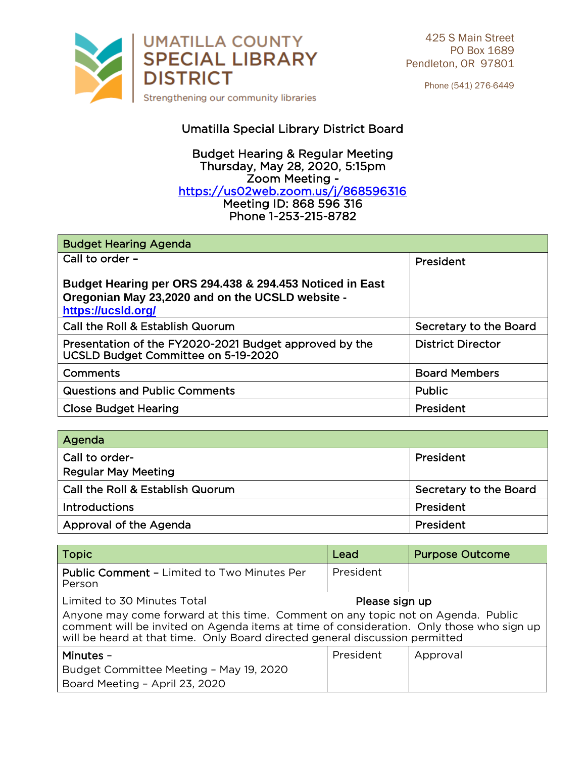

Phone (541) 276-6449

## Umatilla Special Library District Board

## **Budget Hearing & Regular Meeting** Thursday, May 28, 2020, 5:15pm Zoom Meeting https://us02web.zoom.us/j/868596316 <u>Modernown Community Jierre</u> Phone 1-253-215-8782 Phone 1-253-215-8782

| <b>Budget Hearing Agenda</b>                                                                                                       |                          |
|------------------------------------------------------------------------------------------------------------------------------------|--------------------------|
| Call to order -                                                                                                                    | President                |
| Budget Hearing per ORS 294.438 & 294.453 Noticed in East<br>Oregonian May 23,2020 and on the UCSLD website -<br>https://ucsld.org/ |                          |
| Call the Roll & Establish Quorum                                                                                                   | Secretary to the Board   |
| Presentation of the FY2020-2021 Budget approved by the<br>UCSLD Budget Committee on 5-19-2020                                      | <b>District Director</b> |
| Comments                                                                                                                           | <b>Board Members</b>     |
| <b>Questions and Public Comments</b>                                                                                               | Public                   |
| <b>Close Budget Hearing</b>                                                                                                        | President                |

| Agenda                                       |                        |
|----------------------------------------------|------------------------|
| Call to order-<br><b>Regular May Meeting</b> | President              |
| Call the Roll & Establish Quorum             | Secretary to the Board |
| <b>Introductions</b>                         | President              |
| Approval of the Agenda                       | President              |

| <b>Topic</b>                                                                                                                                                                                                                                                                                                  | Lead      | <b>Purpose Outcome</b> |  |
|---------------------------------------------------------------------------------------------------------------------------------------------------------------------------------------------------------------------------------------------------------------------------------------------------------------|-----------|------------------------|--|
| <b>Public Comment - Limited to Two Minutes Per</b><br>Person                                                                                                                                                                                                                                                  | President |                        |  |
| Limited to 30 Minutes Total<br>Please sign up<br>Anyone may come forward at this time. Comment on any topic not on Agenda. Public<br>comment will be invited on Agenda items at time of consideration. Only those who sign up<br>will be heard at that time. Only Board directed general discussion permitted |           |                        |  |
| Minutes -<br>Budget Committee Meeting - May 19, 2020<br>Board Meeting - April 23, 2020                                                                                                                                                                                                                        | President | Approval               |  |

 $\frac{1}{2}$